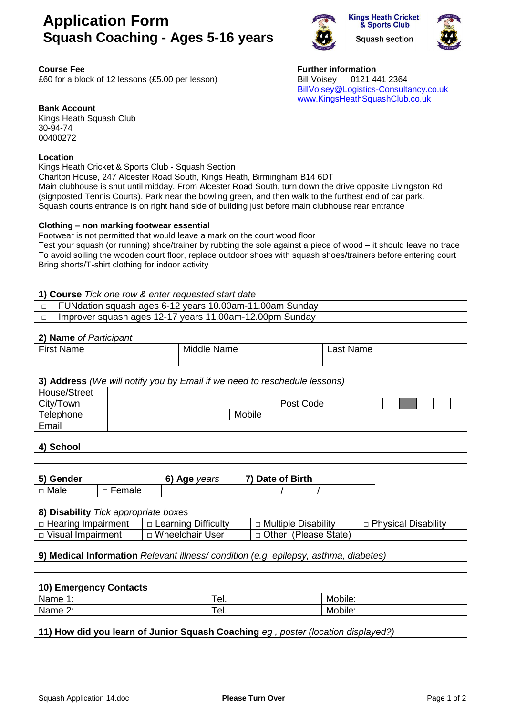# **Application Form Squash Coaching - Ages 5-16 years**



**Kings Heath Cricket** & Sports Club **Squash section** 



**Course** Fee **Funding Course Funding Course Funding Course Funding Course Funding Course Funding Course Funding Course Funding Course Funding Course Funding Course Funding Course Funding Course Fund** £60 for a block of 12 lessons (£5.00 per lesson) Bill Voisey 0121 441 2364 [BillVoisey@Logistics-Consultancy.co.uk](mailto:BillVoisey@Logistics-Consultancy.co.uk) [www.KingsHeathSquashClub.co.uk](http://www.kingsheathsquashclub.co.uk/)

**Bank Account**

Kings Heath Squash Club 30-94-74 00400272

## **Location**

Kings Heath Cricket & Sports Club - Squash Section

Charlton House, 247 Alcester Road South, Kings Heath, Birmingham B14 6DT Main clubhouse is shut until midday. From Alcester Road South, turn down the drive opposite Livingston Rd (signposted Tennis Courts). Park near the bowling green, and then walk to the furthest end of car park. Squash courts entrance is on right hand side of building just before main clubhouse rear entrance

## **Clothing – non marking footwear essential**

Footwear is not permitted that would leave a mark on the court wood floor Test your squash (or running) shoe/trainer by rubbing the sole against a piece of wood – it should leave no trace To avoid soiling the wooden court floor, replace outdoor shoes with squash shoes/trainers before entering court Bring shorts/T-shirt clothing for indoor activity

## **1) Course** *Tick one row & enter requested start date*

| $\Box$ FUNdation squash ages 6-12 years 10.00am-11.00am Sunday   |  |
|------------------------------------------------------------------|--|
| $\Box$   Improver squash ages 12-17 years 11.00am-12.00pm Sunday |  |

#### **2) Name** *of Participant*

| First<br>Name | Middle<br>Name | Name<br>∟ast ′ |
|---------------|----------------|----------------|
|               |                |                |

## **3) Address** *(We will notify you by Email if we need to reschedule lessons)*

| House/Street |  |  |        |           |  |  |  |  |
|--------------|--|--|--------|-----------|--|--|--|--|
| City/Town    |  |  |        | Post Code |  |  |  |  |
| Telephone    |  |  | Mobile |           |  |  |  |  |
| Email        |  |  |        |           |  |  |  |  |

## **4) School**

| 5) Gender |          | 6) Age vears | 7) Date of Birth |
|-----------|----------|--------------|------------------|
| □ Male    | □ Female |              |                  |

#### **8) Disability** *Tick appropriate boxes*

| $\Box$ Hearing Impairment | $\Box$ Learning Difficulty | □ Multiple Disability  | □ Physical Disability |
|---------------------------|----------------------------|------------------------|-----------------------|
| $\Box$ Visual Impairment  | ا Wheelchair User          | □ Other (Please State) |                       |

## **9) Medical Information** *Relevant illness/ condition (e.g. epilepsy, asthma, diabetes)*

## **10) Emergency Contacts**

| Nar                            | --  | . .            |
|--------------------------------|-----|----------------|
| пе                             |     | Mobile.        |
| $\blacksquare$<br>Nar<br>me z. | eı. | . .<br>Mobile. |

## **11) How did you learn of Junior Squash Coaching** *eg , poster (location displayed?)*